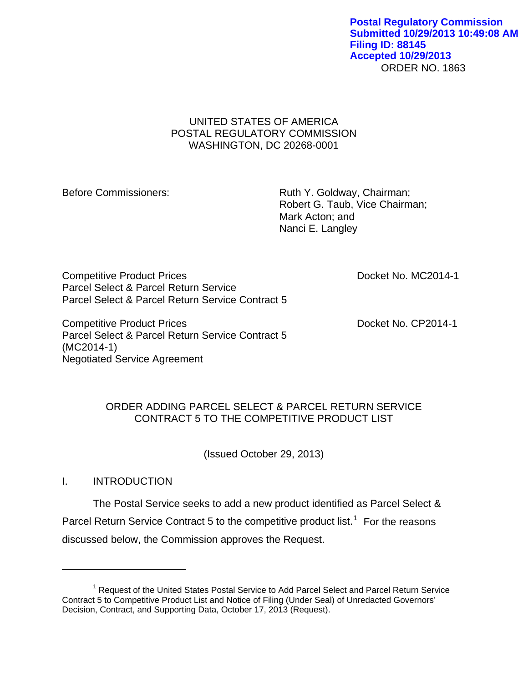#### ORDER NO. 1863 **Postal Regulatory Commission Submitted 10/29/2013 10:49:08 AM Filing ID: 88145 Accepted 10/29/2013**

# UNITED STATES OF AMERICA POSTAL REGULATORY COMMISSION WASHINGTON, DC 20268-0001

Before Commissioners: Ruth Y. Goldway, Chairman; Robert G. Taub, Vice Chairman; Mark Acton; and Nanci E. Langley

Competitive Product Prices **Docket No. MC2014-1** Parcel Select & Parcel Return Service Parcel Select & Parcel Return Service Contract 5

Competitive Product Prices **Docket No. CP2014-1** Parcel Select & Parcel Return Service Contract 5 (MC2014-1) Negotiated Service Agreement

# ORDER ADDING PARCEL SELECT & PARCEL RETURN SERVICE CONTRACT 5 TO THE COMPETITIVE PRODUCT LIST

(Issued October 29, 2013)

# I. INTRODUCTION

 $\overline{a}$ 

The Postal Service seeks to add a new product identified as Parcel Select & Parcel Return Service Contract 5 to the competitive product list.<sup>[1](#page-0-0)</sup> For the reasons discussed below, the Commission approves the Request.

<span id="page-0-0"></span><sup>&</sup>lt;sup>1</sup> Request of the United States Postal Service to Add Parcel Select and Parcel Return Service Contract 5 to Competitive Product List and Notice of Filing (Under Seal) of Unredacted Governors' Decision, Contract, and Supporting Data, October 17, 2013 (Request).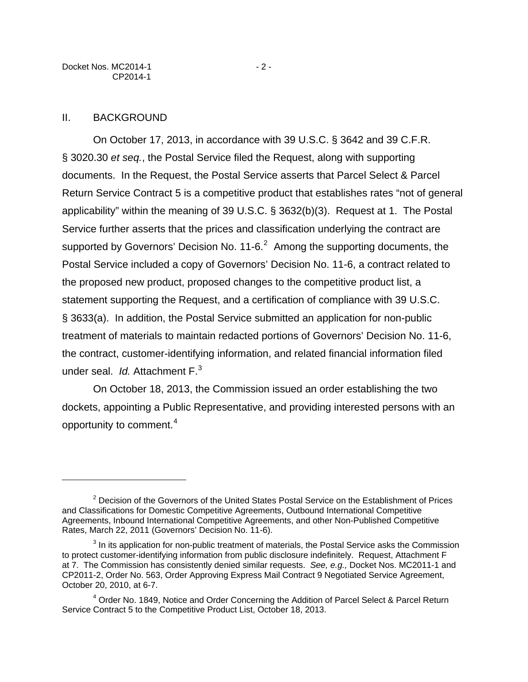#### II. BACKGROUND

 $\overline{a}$ 

On October 17, 2013, in accordance with 39 U.S.C. § 3642 and 39 C.F.R. § 3020.30 *et seq.*, the Postal Service filed the Request, along with supporting documents. In the Request, the Postal Service asserts that Parcel Select & Parcel Return Service Contract 5 is a competitive product that establishes rates "not of general applicability" within the meaning of 39 U.S.C. § 3632(b)(3). Request at 1. The Postal Service further asserts that the prices and classification underlying the contract are supported by Governors' Decision No. 11-6.<sup>[2](#page-1-0)</sup> Among the supporting documents, the Postal Service included a copy of Governors' Decision No. 11-6, a contract related to the proposed new product, proposed changes to the competitive product list, a statement supporting the Request, and a certification of compliance with 39 U.S.C. § 3633(a). In addition, the Postal Service submitted an application for non-public treatment of materials to maintain redacted portions of Governors' Decision No. 11-6, the contract, customer-identifying information, and related financial information filed under seal. *Id.* Attachment F.[3](#page-1-1)

On October 18, 2013, the Commission issued an order establishing the two dockets, appointing a Public Representative, and providing interested persons with an opportunity to comment.[4](#page-1-2)

<span id="page-1-0"></span><sup>&</sup>lt;sup>2</sup> Decision of the Governors of the United States Postal Service on the Establishment of Prices and Classifications for Domestic Competitive Agreements, Outbound International Competitive Agreements, Inbound International Competitive Agreements, and other Non-Published Competitive Rates, March 22, 2011 (Governors' Decision No. 11-6).

<span id="page-1-1"></span> $3$  In its application for non-public treatment of materials, the Postal Service asks the Commission to protect customer-identifying information from public disclosure indefinitely. Request, Attachment F at 7. The Commission has consistently denied similar requests. *See, e.g.,* Docket Nos. MC2011-1 and CP2011-2, Order No. 563, Order Approving Express Mail Contract 9 Negotiated Service Agreement, October 20, 2010, at 6-7.

<span id="page-1-2"></span><sup>&</sup>lt;sup>4</sup> Order No. 1849, Notice and Order Concerning the Addition of Parcel Select & Parcel Return Service Contract 5 to the Competitive Product List, October 18, 2013.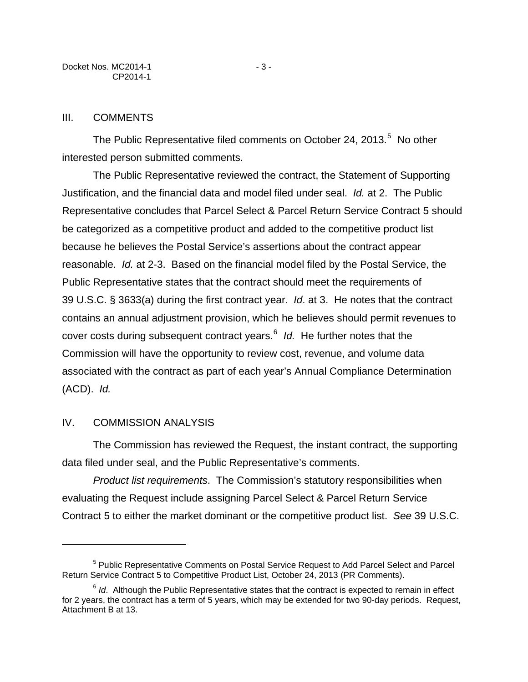The Public Representative filed comments on October 24, 2013. $5$  No other interested person submitted comments.

The Public Representative reviewed the contract, the Statement of Supporting Justification, and the financial data and model filed under seal. *Id.* at 2. The Public Representative concludes that Parcel Select & Parcel Return Service Contract 5 should be categorized as a competitive product and added to the competitive product list because he believes the Postal Service's assertions about the contract appear reasonable. *Id.* at 2-3. Based on the financial model filed by the Postal Service, the Public Representative states that the contract should meet the requirements of 39 U.S.C. § 3633(a) during the first contract year. *Id*. at 3. He notes that the contract contains an annual adjustment provision, which he believes should permit revenues to cover costs during subsequent contract years.<sup>[6](#page-2-1)</sup> Id. He further notes that the Commission will have the opportunity to review cost, revenue, and volume data associated with the contract as part of each year's Annual Compliance Determination (ACD). *Id.* 

## IV. COMMISSION ANALYSIS

 $\overline{a}$ 

The Commission has reviewed the Request, the instant contract, the supporting data filed under seal, and the Public Representative's comments.

*Product list requirements*. The Commission's statutory responsibilities when evaluating the Request include assigning Parcel Select & Parcel Return Service Contract 5 to either the market dominant or the competitive product list. *See* 39 U.S.C.

<span id="page-2-0"></span><sup>&</sup>lt;sup>5</sup> Public Representative Comments on Postal Service Request to Add Parcel Select and Parcel Return Service Contract 5 to Competitive Product List, October 24, 2013 (PR Comments).

<span id="page-2-1"></span><sup>&</sup>lt;sup>6</sup> *Id.* Although the Public Representative states that the contract is expected to remain in effect for 2 years, the contract has a term of 5 years, which may be extended for two 90-day periods. Request, Attachment B at 13.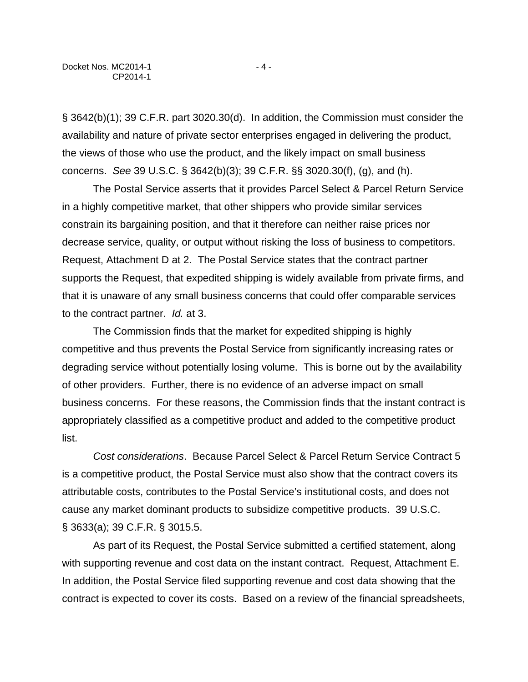§ 3642(b)(1); 39 C.F.R. part 3020.30(d). In addition, the Commission must consider the availability and nature of private sector enterprises engaged in delivering the product, the views of those who use the product, and the likely impact on small business concerns. *See* 39 U.S.C. § 3642(b)(3); 39 C.F.R. §§ 3020.30(f), (g), and (h).

The Postal Service asserts that it provides Parcel Select & Parcel Return Service in a highly competitive market, that other shippers who provide similar services constrain its bargaining position, and that it therefore can neither raise prices nor decrease service, quality, or output without risking the loss of business to competitors. Request, Attachment D at 2. The Postal Service states that the contract partner supports the Request, that expedited shipping is widely available from private firms, and that it is unaware of any small business concerns that could offer comparable services to the contract partner. *Id.* at 3.

The Commission finds that the market for expedited shipping is highly competitive and thus prevents the Postal Service from significantly increasing rates or degrading service without potentially losing volume. This is borne out by the availability of other providers. Further, there is no evidence of an adverse impact on small business concerns. For these reasons, the Commission finds that the instant contract is appropriately classified as a competitive product and added to the competitive product list.

*Cost considerations*. Because Parcel Select & Parcel Return Service Contract 5 is a competitive product, the Postal Service must also show that the contract covers its attributable costs, contributes to the Postal Service's institutional costs, and does not cause any market dominant products to subsidize competitive products. 39 U.S.C. § 3633(a); 39 C.F.R. § 3015.5.

As part of its Request, the Postal Service submitted a certified statement, along with supporting revenue and cost data on the instant contract. Request, Attachment E. In addition, the Postal Service filed supporting revenue and cost data showing that the contract is expected to cover its costs. Based on a review of the financial spreadsheets,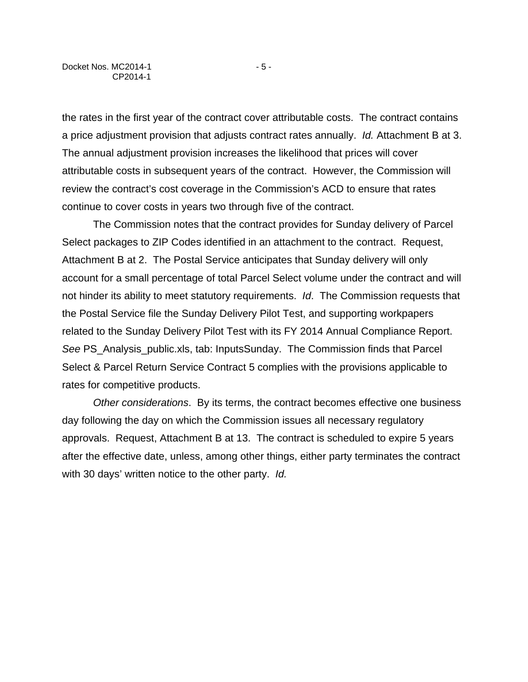the rates in the first year of the contract cover attributable costs. The contract contains a price adjustment provision that adjusts contract rates annually. *Id.* Attachment B at 3. The annual adjustment provision increases the likelihood that prices will cover attributable costs in subsequent years of the contract. However, the Commission will review the contract's cost coverage in the Commission's ACD to ensure that rates continue to cover costs in years two through five of the contract.

The Commission notes that the contract provides for Sunday delivery of Parcel Select packages to ZIP Codes identified in an attachment to the contract. Request, Attachment B at 2. The Postal Service anticipates that Sunday delivery will only account for a small percentage of total Parcel Select volume under the contract and will not hinder its ability to meet statutory requirements. *Id*. The Commission requests that the Postal Service file the Sunday Delivery Pilot Test, and supporting workpapers related to the Sunday Delivery Pilot Test with its FY 2014 Annual Compliance Report. *See* PS\_Analysis\_public.xls, tab: InputsSunday. The Commission finds that Parcel Select & Parcel Return Service Contract 5 complies with the provisions applicable to rates for competitive products.

*Other considerations*. By its terms, the contract becomes effective one business day following the day on which the Commission issues all necessary regulatory approvals. Request, Attachment B at 13. The contract is scheduled to expire 5 years after the effective date, unless, among other things, either party terminates the contract with 30 days' written notice to the other party. *Id.*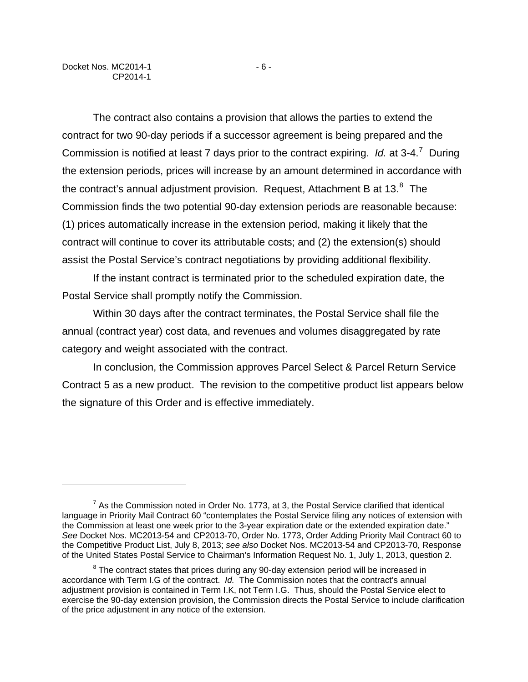$\overline{a}$ 

The contract also contains a provision that allows the parties to extend the contract for two 90-day periods if a successor agreement is being prepared and the Commission is notified at least 7 days prior to the contract expiring. *Id.* at 3-4.[7](#page-5-0) During the extension periods, prices will increase by an amount determined in accordance with the contract's annual adjustment provision. Request, Attachment B at 13. $^8$  $^8$  The Commission finds the two potential 90-day extension periods are reasonable because: (1) prices automatically increase in the extension period, making it likely that the contract will continue to cover its attributable costs; and (2) the extension(s) should assist the Postal Service's contract negotiations by providing additional flexibility.

If the instant contract is terminated prior to the scheduled expiration date, the Postal Service shall promptly notify the Commission.

Within 30 days after the contract terminates, the Postal Service shall file the annual (contract year) cost data, and revenues and volumes disaggregated by rate category and weight associated with the contract.

In conclusion, the Commission approves Parcel Select & Parcel Return Service Contract 5 as a new product. The revision to the competitive product list appears below the signature of this Order and is effective immediately.

<span id="page-5-0"></span> $<sup>7</sup>$  As the Commission noted in Order No. 1773, at 3, the Postal Service clarified that identical</sup> language in Priority Mail Contract 60 "contemplates the Postal Service filing any notices of extension with the Commission at least one week prior to the 3-year expiration date or the extended expiration date." *See* Docket Nos. MC2013-54 and CP2013-70, Order No. 1773, Order Adding Priority Mail Contract 60 to the Competitive Product List, July 8, 2013; *see also* Docket Nos. MC2013-54 and CP2013-70, Response of the United States Postal Service to Chairman's Information Request No. 1, July 1, 2013, question 2.

<span id="page-5-1"></span> $8$  The contract states that prices during any 90-day extension period will be increased in accordance with Term I.G of the contract. *Id.* The Commission notes that the contract's annual adjustment provision is contained in Term I.K, not Term I.G. Thus, should the Postal Service elect to exercise the 90-day extension provision, the Commission directs the Postal Service to include clarification of the price adjustment in any notice of the extension.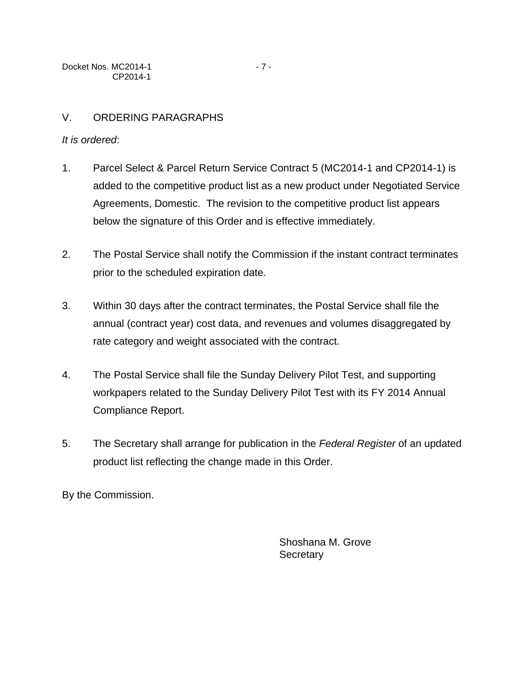# *It is ordered*:

- 1. Parcel Select & Parcel Return Service Contract 5 (MC2014-1 and CP2014-1) is added to the competitive product list as a new product under Negotiated Service Agreements, Domestic. The revision to the competitive product list appears below the signature of this Order and is effective immediately.
- 2. The Postal Service shall notify the Commission if the instant contract terminates prior to the scheduled expiration date.
- 3. Within 30 days after the contract terminates, the Postal Service shall file the annual (contract year) cost data, and revenues and volumes disaggregated by rate category and weight associated with the contract.
- 4. The Postal Service shall file the Sunday Delivery Pilot Test, and supporting workpapers related to the Sunday Delivery Pilot Test with its FY 2014 Annual Compliance Report.
- 5. The Secretary shall arrange for publication in the *Federal Register* of an updated product list reflecting the change made in this Order.

By the Commission.

Shoshana M. Grove **Secretary**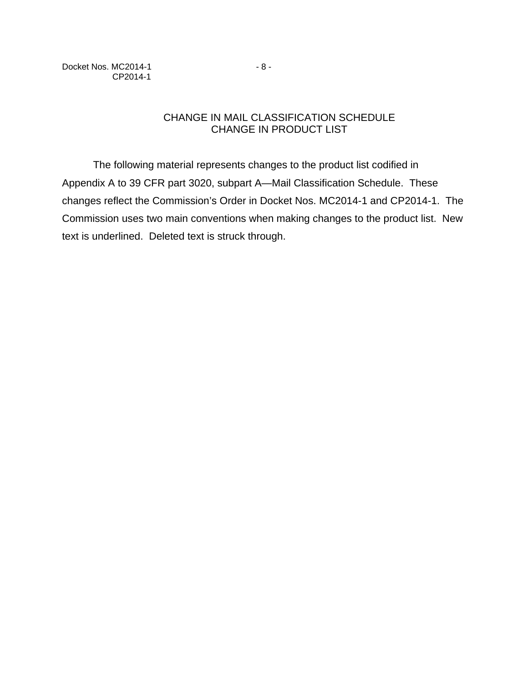Docket Nos. MC2014-1 - 8 -CP2014-1

# CHANGE IN MAIL CLASSIFICATION SCHEDULE CHANGE IN PRODUCT LIST

The following material represents changes to the product list codified in Appendix A to 39 CFR part 3020, subpart A—Mail Classification Schedule. These changes reflect the Commission's Order in Docket Nos. MC2014-1 and CP2014-1. The Commission uses two main conventions when making changes to the product list. New text is underlined. Deleted text is struck through.